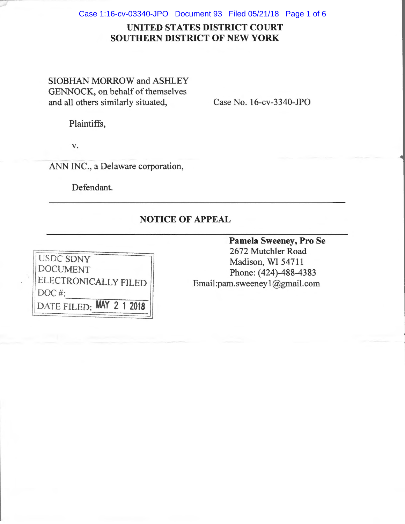Case 1:16-cv-03340-JPO Document 93 Filed 05/21/18 Page 1 of 6

## **UNITED STATES DISTRICT COURT SOUTHERN DISTRICT OF NEW YORK**

SIOBHAN MORROW and ASHLEY GENNOCK, on behalf of themselves and all others similarly situated,

Case No. 16-cv-3340-JPO

Plaintiffs,

v.

ANN INC., a Delaware corporation,

Defendant.

## **NOTICE OF APPEAL**



**Pamela Sweeney, Pro Se**  2672 Mutchler Road Madison, WI 54711 Phone: (424)-488-4383 Email:pam. sweeney l @gmail.com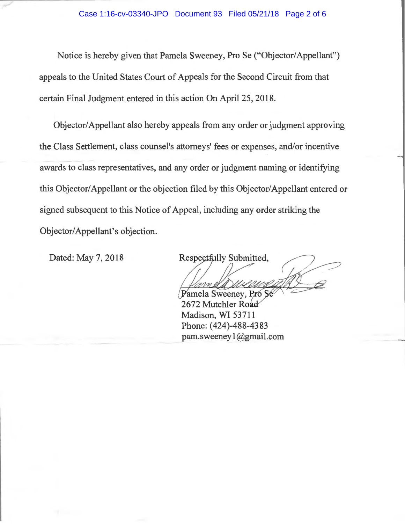Notice is hereby given that Pamela Sweeney, Pro Se ("Objector/ Appellant") appeals to the United States Court of Appeals for the Second Circuit from that certain Final Judgment entered in this action On April 25, 2018.

Objector/ Appellant also hereby appeals from any order or judgment approving the Class Settlement, class counsel's attorneys' fees or expenses, and/or incentive awards to class representatives, and any order or judgment naming or identifying this Objector/Appellant or the objection filed by this Objector/Appellant entered or signed subsequent to this Notice of Appeal, including any order striking the Objector/Appellant's objection.

Dated: May 7, 2018

Respectfully Submitted,

Pamela Sweeney, Pro Se 2672 Mutchler Roa Madison, WI 53711 Phone: (424)-488-4383 pam.sweeney l@gmail.com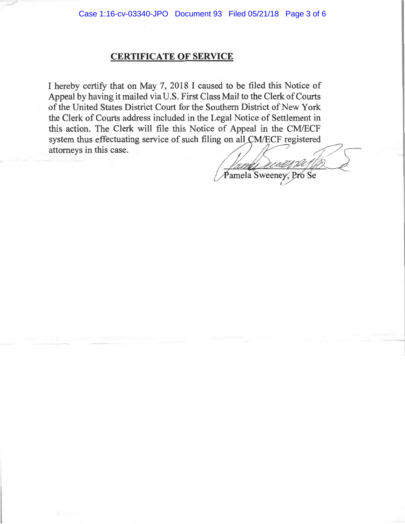## **CERTIFICATE OF SERVICE**

I hereby certify that on May 7, 2018 I caused to be filed this Notice of Appeal by having it mailed via U.S. First Class Mail to the Clerk of Courts of the United States District Court for the Southern District of New York the Clerk of Courts address included in the Legal Notice of Settlement in this action. The Clerk will file this Notice of Appeal in the CM/ECF system thus effectuating service of such filing on all CM/ECF registered attorneys in this case.<br>  $\int$  - and could be all the set of the set of the set of the set of the set of the set of the set of the set of the set of t

. Pro Se  $\mathbb{Z}$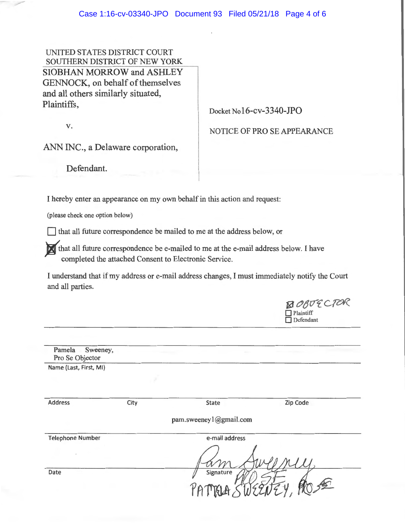UNITED STATES DISTRICT COURT SOUTHERN DISTRICT OF NEW YORK SIOBHAN MORROW and ASHLEY GENNOCK, on behalf of themselves and all others similarly situated, Plaintiffs, Docket No16-cv-3340-JPO

v.

NOTICE OF PRO SE APPEARANCE

 $\bigotimes$ OBUECICK

ANN INC., a Delaware corporation,

Defendant.

I hereby enter an appearance on my own behalf in this action and request:

(please check one option below)

 $\Box$  that all future correspondence be mailed to me at the address below, or

that all future correspondence be e-mailed to me at the e-mail address below. I have completed the attached Consent to Electronic Service.

I understand that if my address or e-mail address changes, I must immediately notify the Court and all parties.

|                                           |      |                        | Plaintiff<br>□<br>Defendant |
|-------------------------------------------|------|------------------------|-----------------------------|
|                                           |      |                        |                             |
| Pamela<br>Sweeney,<br>Pro Se Objector     |      |                        |                             |
| Name (Last, First, MI)                    |      |                        |                             |
| <b>Address</b>                            | City | State                  | Zip Code                    |
|                                           |      | pam.sweeney1@gmail.com |                             |
| e-mail address<br><b>Telephone Number</b> |      |                        |                             |
| $\ddot{\phantom{a}}$                      |      |                        |                             |
| Date                                      |      | Signature              |                             |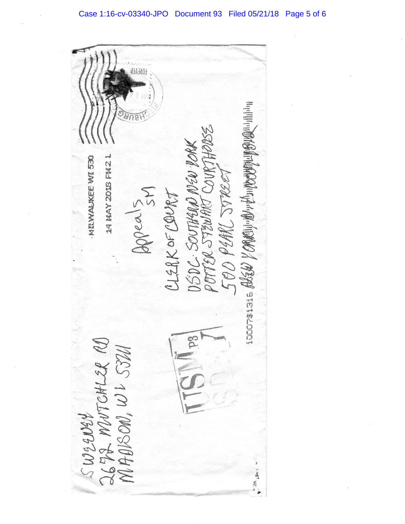**OKEAEK** RECORDS ASSES YORKING WANDOUT SIGNATION DÉDC-SOUTHERN NEW PORK<br>POTTER STEWART COURTHERES 14 HAY 2018 FM2 L MINAUKEE WI 530 Depents<br>21128 KOF COURT SWEENEY<br>2672 MUTCHLER RD<br>MABBON, WL 5324 温泉